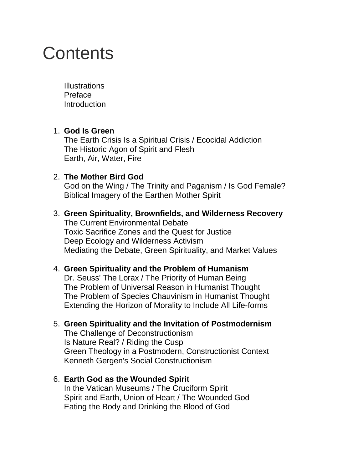# **Contents**

**Illustrations** Preface **Introduction** 

#### 1. **God Is Green**

The Earth Crisis Is a Spiritual Crisis / Ecocidal Addiction The Historic Agon of Spirit and Flesh Earth, Air, Water, Fire

### 2. **The Mother Bird God**

God on the Wing / The Trinity and Paganism / Is God Female? Biblical Imagery of the Earthen Mother Spirit

## 3. **Green Spirituality, Brownfields, and Wilderness Recovery** The Current Environmental Debate

Toxic Sacrifice Zones and the Quest for Justice Deep Ecology and Wilderness Activism Mediating the Debate, Green Spirituality, and Market Values

### 4. **Green Spirituality and the Problem of Humanism**

Dr. Seuss' The Lorax / The Priority of Human Being The Problem of Universal Reason in Humanist Thought The Problem of Species Chauvinism in Humanist Thought Extending the Horizon of Morality to Include All Life-forms

### 5. **Green Spirituality and the Invitation of Postmodernism**

The Challenge of Deconstructionism Is Nature Real? / Riding the Cusp Green Theology in a Postmodern, Constructionist Context Kenneth Gergen's Social Constructionism

#### 6. **Earth God as the Wounded Spirit** In the Vatican Museums / The Cruciform Spirit Spirit and Earth, Union of Heart / The Wounded God Eating the Body and Drinking the Blood of God